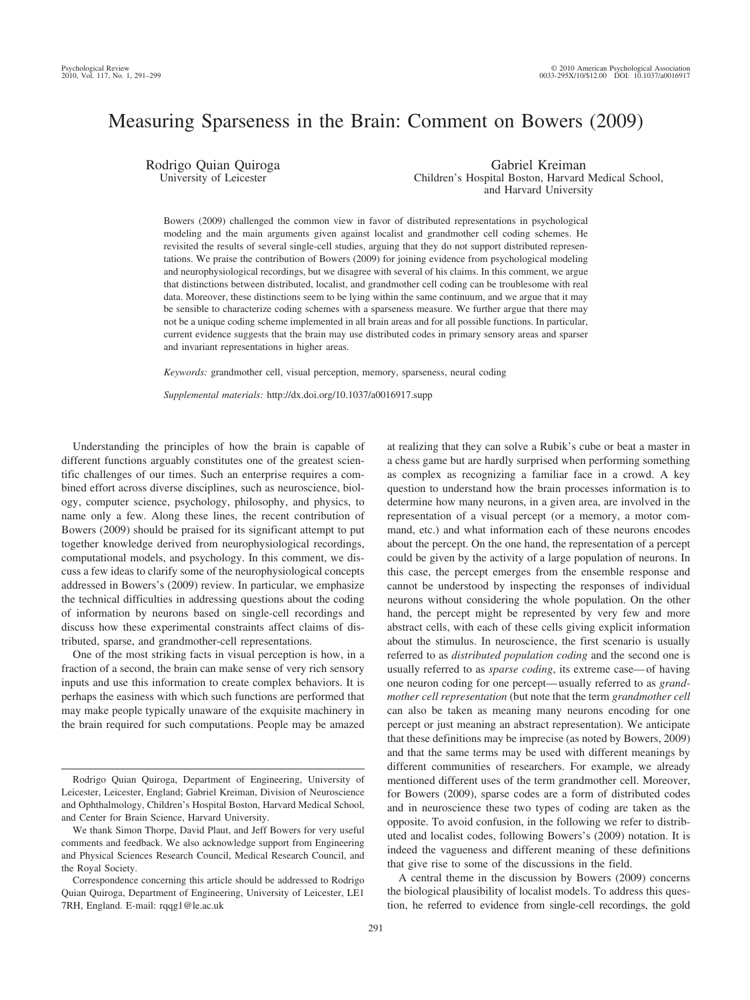# Measuring Sparseness in the Brain: Comment on Bowers (2009)

Rodrigo Quian Quiroga University of Leicester

Gabriel Kreiman Children's Hospital Boston, Harvard Medical School, and Harvard University

Bowers (2009) challenged the common view in favor of distributed representations in psychological modeling and the main arguments given against localist and grandmother cell coding schemes. He revisited the results of several single-cell studies, arguing that they do not support distributed representations. We praise the contribution of Bowers (2009) for joining evidence from psychological modeling and neurophysiological recordings, but we disagree with several of his claims. In this comment, we argue that distinctions between distributed, localist, and grandmother cell coding can be troublesome with real data. Moreover, these distinctions seem to be lying within the same continuum, and we argue that it may be sensible to characterize coding schemes with a sparseness measure. We further argue that there may not be a unique coding scheme implemented in all brain areas and for all possible functions. In particular, current evidence suggests that the brain may use distributed codes in primary sensory areas and sparser and invariant representations in higher areas.

*Keywords:* grandmother cell, visual perception, memory, sparseness, neural coding

*Supplemental materials:* http://dx.doi.org/10.1037/a0016917.supp

Understanding the principles of how the brain is capable of different functions arguably constitutes one of the greatest scientific challenges of our times. Such an enterprise requires a combined effort across diverse disciplines, such as neuroscience, biology, computer science, psychology, philosophy, and physics, to name only a few. Along these lines, the recent contribution of Bowers (2009) should be praised for its significant attempt to put together knowledge derived from neurophysiological recordings, computational models, and psychology. In this comment, we discuss a few ideas to clarify some of the neurophysiological concepts addressed in Bowers's (2009) review. In particular, we emphasize the technical difficulties in addressing questions about the coding of information by neurons based on single-cell recordings and discuss how these experimental constraints affect claims of distributed, sparse, and grandmother-cell representations.

One of the most striking facts in visual perception is how, in a fraction of a second, the brain can make sense of very rich sensory inputs and use this information to create complex behaviors. It is perhaps the easiness with which such functions are performed that may make people typically unaware of the exquisite machinery in the brain required for such computations. People may be amazed at realizing that they can solve a Rubik's cube or beat a master in a chess game but are hardly surprised when performing something as complex as recognizing a familiar face in a crowd. A key question to understand how the brain processes information is to determine how many neurons, in a given area, are involved in the representation of a visual percept (or a memory, a motor command, etc.) and what information each of these neurons encodes about the percept. On the one hand, the representation of a percept could be given by the activity of a large population of neurons. In this case, the percept emerges from the ensemble response and cannot be understood by inspecting the responses of individual neurons without considering the whole population. On the other hand, the percept might be represented by very few and more abstract cells, with each of these cells giving explicit information about the stimulus. In neuroscience, the first scenario is usually referred to as *distributed population coding* and the second one is usually referred to as *sparse coding*, its extreme case— of having one neuron coding for one percept— usually referred to as *grandmother cell representation* (but note that the term *grandmother cell* can also be taken as meaning many neurons encoding for one percept or just meaning an abstract representation). We anticipate that these definitions may be imprecise (as noted by Bowers, 2009) and that the same terms may be used with different meanings by different communities of researchers. For example, we already mentioned different uses of the term grandmother cell. Moreover, for Bowers (2009), sparse codes are a form of distributed codes and in neuroscience these two types of coding are taken as the opposite. To avoid confusion, in the following we refer to distributed and localist codes, following Bowers's (2009) notation. It is indeed the vagueness and different meaning of these definitions that give rise to some of the discussions in the field.

A central theme in the discussion by Bowers (2009) concerns the biological plausibility of localist models. To address this question, he referred to evidence from single-cell recordings, the gold

Rodrigo Quian Quiroga, Department of Engineering, University of Leicester, Leicester, England; Gabriel Kreiman, Division of Neuroscience and Ophthalmology, Children's Hospital Boston, Harvard Medical School, and Center for Brain Science, Harvard University.

We thank Simon Thorpe, David Plaut, and Jeff Bowers for very useful comments and feedback. We also acknowledge support from Engineering and Physical Sciences Research Council, Medical Research Council, and the Royal Society.

Correspondence concerning this article should be addressed to Rodrigo Quian Quiroga, Department of Engineering, University of Leicester, LE1 7RH, England. E-mail: rqqg1@le.ac.uk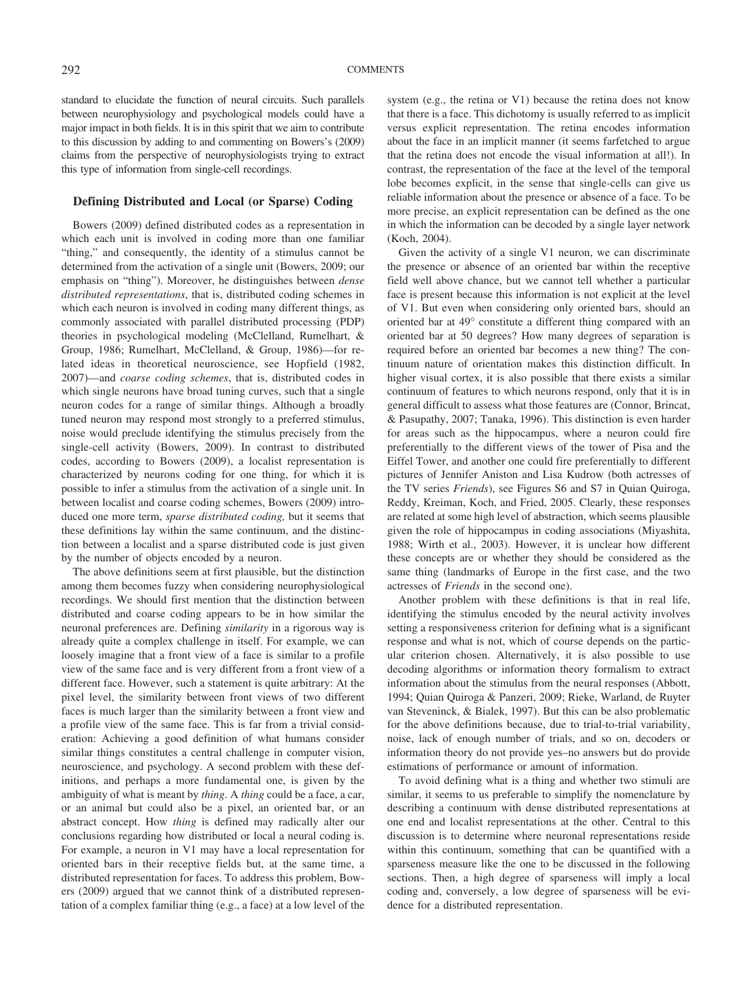standard to elucidate the function of neural circuits. Such parallels between neurophysiology and psychological models could have a major impact in both fields. It is in this spirit that we aim to contribute to this discussion by adding to and commenting on Bowers's (2009) claims from the perspective of neurophysiologists trying to extract this type of information from single-cell recordings.

# **Defining Distributed and Local (or Sparse) Coding**

Bowers (2009) defined distributed codes as a representation in which each unit is involved in coding more than one familiar "thing," and consequently, the identity of a stimulus cannot be determined from the activation of a single unit (Bowers, 2009; our emphasis on "thing"). Moreover, he distinguishes between *dense distributed representations*, that is, distributed coding schemes in which each neuron is involved in coding many different things, as commonly associated with parallel distributed processing (PDP) theories in psychological modeling (McClelland, Rumelhart, & Group, 1986; Rumelhart, McClelland, & Group, 1986)—for related ideas in theoretical neuroscience, see Hopfield (1982, 2007)—and *coarse coding schemes*, that is, distributed codes in which single neurons have broad tuning curves, such that a single neuron codes for a range of similar things. Although a broadly tuned neuron may respond most strongly to a preferred stimulus, noise would preclude identifying the stimulus precisely from the single-cell activity (Bowers, 2009). In contrast to distributed codes, according to Bowers (2009), a localist representation is characterized by neurons coding for one thing, for which it is possible to infer a stimulus from the activation of a single unit. In between localist and coarse coding schemes, Bowers (2009) introduced one more term, *sparse distributed coding,* but it seems that these definitions lay within the same continuum, and the distinction between a localist and a sparse distributed code is just given by the number of objects encoded by a neuron.

The above definitions seem at first plausible, but the distinction among them becomes fuzzy when considering neurophysiological recordings. We should first mention that the distinction between distributed and coarse coding appears to be in how similar the neuronal preferences are. Defining *similarity* in a rigorous way is already quite a complex challenge in itself. For example, we can loosely imagine that a front view of a face is similar to a profile view of the same face and is very different from a front view of a different face. However, such a statement is quite arbitrary: At the pixel level, the similarity between front views of two different faces is much larger than the similarity between a front view and a profile view of the same face. This is far from a trivial consideration: Achieving a good definition of what humans consider similar things constitutes a central challenge in computer vision, neuroscience, and psychology. A second problem with these definitions, and perhaps a more fundamental one, is given by the ambiguity of what is meant by *thing*. A *thing* could be a face, a car, or an animal but could also be a pixel, an oriented bar, or an abstract concept. How *thing* is defined may radically alter our conclusions regarding how distributed or local a neural coding is. For example, a neuron in V1 may have a local representation for oriented bars in their receptive fields but, at the same time, a distributed representation for faces. To address this problem, Bowers (2009) argued that we cannot think of a distributed representation of a complex familiar thing (e.g., a face) at a low level of the

system (e.g., the retina or V1) because the retina does not know that there is a face. This dichotomy is usually referred to as implicit versus explicit representation. The retina encodes information about the face in an implicit manner (it seems farfetched to argue that the retina does not encode the visual information at all!). In contrast, the representation of the face at the level of the temporal lobe becomes explicit, in the sense that single-cells can give us reliable information about the presence or absence of a face. To be more precise, an explicit representation can be defined as the one in which the information can be decoded by a single layer network (Koch, 2004).

Given the activity of a single V1 neuron, we can discriminate the presence or absence of an oriented bar within the receptive field well above chance, but we cannot tell whether a particular face is present because this information is not explicit at the level of V1. But even when considering only oriented bars, should an oriented bar at 49° constitute a different thing compared with an oriented bar at 50 degrees? How many degrees of separation is required before an oriented bar becomes a new thing? The continuum nature of orientation makes this distinction difficult. In higher visual cortex, it is also possible that there exists a similar continuum of features to which neurons respond, only that it is in general difficult to assess what those features are (Connor, Brincat, & Pasupathy, 2007; Tanaka, 1996). This distinction is even harder for areas such as the hippocampus, where a neuron could fire preferentially to the different views of the tower of Pisa and the Eiffel Tower, and another one could fire preferentially to different pictures of Jennifer Aniston and Lisa Kudrow (both actresses of the TV series *Friends*), see Figures S6 and S7 in Quian Quiroga, Reddy, Kreiman, Koch, and Fried, 2005. Clearly, these responses are related at some high level of abstraction, which seems plausible given the role of hippocampus in coding associations (Miyashita, 1988; Wirth et al., 2003). However, it is unclear how different these concepts are or whether they should be considered as the same thing (landmarks of Europe in the first case, and the two actresses of *Friends* in the second one).

Another problem with these definitions is that in real life, identifying the stimulus encoded by the neural activity involves setting a responsiveness criterion for defining what is a significant response and what is not, which of course depends on the particular criterion chosen. Alternatively, it is also possible to use decoding algorithms or information theory formalism to extract information about the stimulus from the neural responses (Abbott, 1994; Quian Quiroga & Panzeri, 2009; Rieke, Warland, de Ruyter van Steveninck, & Bialek, 1997). But this can be also problematic for the above definitions because, due to trial-to-trial variability, noise, lack of enough number of trials, and so on, decoders or information theory do not provide yes–no answers but do provide estimations of performance or amount of information.

To avoid defining what is a thing and whether two stimuli are similar, it seems to us preferable to simplify the nomenclature by describing a continuum with dense distributed representations at one end and localist representations at the other. Central to this discussion is to determine where neuronal representations reside within this continuum, something that can be quantified with a sparseness measure like the one to be discussed in the following sections. Then, a high degree of sparseness will imply a local coding and, conversely, a low degree of sparseness will be evidence for a distributed representation.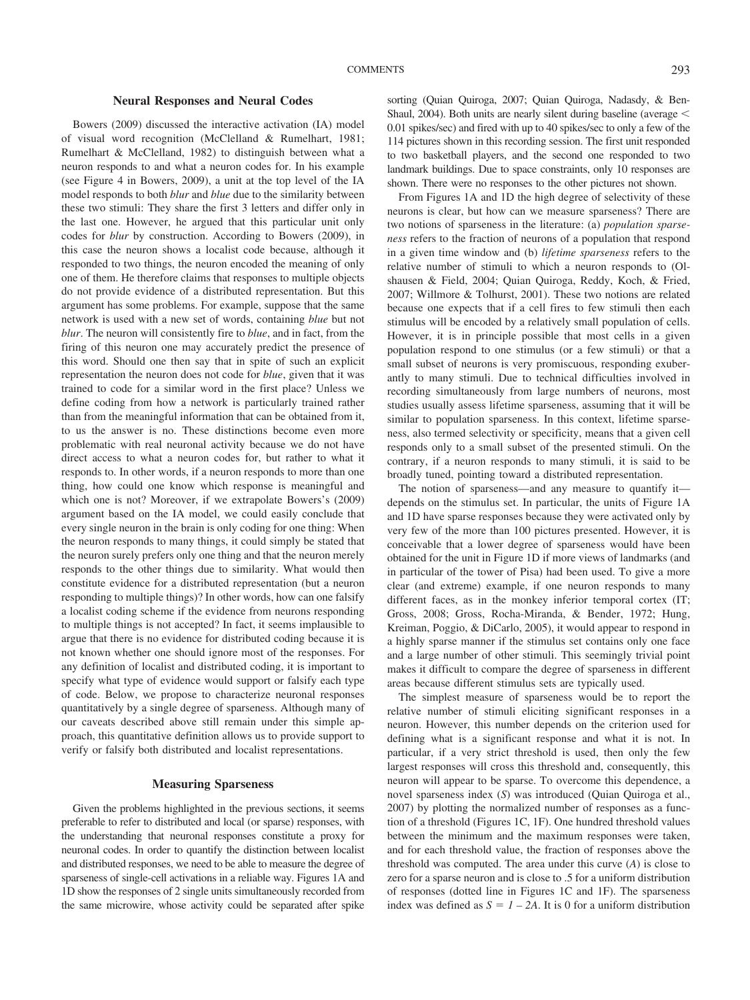# **Neural Responses and Neural Codes**

Bowers (2009) discussed the interactive activation (IA) model of visual word recognition (McClelland & Rumelhart, 1981; Rumelhart & McClelland, 1982) to distinguish between what a neuron responds to and what a neuron codes for. In his example (see Figure 4 in Bowers, 2009), a unit at the top level of the IA model responds to both *blur* and *blue* due to the similarity between these two stimuli: They share the first 3 letters and differ only in the last one. However, he argued that this particular unit only codes for *blur* by construction. According to Bowers (2009), in this case the neuron shows a localist code because, although it responded to two things, the neuron encoded the meaning of only one of them. He therefore claims that responses to multiple objects do not provide evidence of a distributed representation. But this argument has some problems. For example, suppose that the same network is used with a new set of words, containing *blue* but not *blur*. The neuron will consistently fire to *blue*, and in fact, from the firing of this neuron one may accurately predict the presence of this word. Should one then say that in spite of such an explicit representation the neuron does not code for *blue*, given that it was trained to code for a similar word in the first place? Unless we define coding from how a network is particularly trained rather than from the meaningful information that can be obtained from it, to us the answer is no. These distinctions become even more problematic with real neuronal activity because we do not have direct access to what a neuron codes for, but rather to what it responds to. In other words, if a neuron responds to more than one thing, how could one know which response is meaningful and which one is not? Moreover, if we extrapolate Bowers's (2009) argument based on the IA model, we could easily conclude that every single neuron in the brain is only coding for one thing: When the neuron responds to many things, it could simply be stated that the neuron surely prefers only one thing and that the neuron merely responds to the other things due to similarity. What would then constitute evidence for a distributed representation (but a neuron responding to multiple things)? In other words, how can one falsify a localist coding scheme if the evidence from neurons responding to multiple things is not accepted? In fact, it seems implausible to argue that there is no evidence for distributed coding because it is not known whether one should ignore most of the responses. For any definition of localist and distributed coding, it is important to specify what type of evidence would support or falsify each type of code. Below, we propose to characterize neuronal responses quantitatively by a single degree of sparseness. Although many of our caveats described above still remain under this simple approach, this quantitative definition allows us to provide support to verify or falsify both distributed and localist representations.

# **Measuring Sparseness**

Given the problems highlighted in the previous sections, it seems preferable to refer to distributed and local (or sparse) responses, with the understanding that neuronal responses constitute a proxy for neuronal codes. In order to quantify the distinction between localist and distributed responses, we need to be able to measure the degree of sparseness of single-cell activations in a reliable way. Figures 1A and 1D show the responses of 2 single units simultaneously recorded from the same microwire, whose activity could be separated after spike

sorting (Quian Quiroga, 2007; Quian Quiroga, Nadasdy, & Ben-Shaul, 2004). Both units are nearly silent during baseline (average  $\leq$ 0.01 spikes/sec) and fired with up to 40 spikes/sec to only a few of the 114 pictures shown in this recording session. The first unit responded to two basketball players, and the second one responded to two landmark buildings. Due to space constraints, only 10 responses are shown. There were no responses to the other pictures not shown.

From Figures 1A and 1D the high degree of selectivity of these neurons is clear, but how can we measure sparseness? There are two notions of sparseness in the literature: (a) *population sparseness* refers to the fraction of neurons of a population that respond in a given time window and (b) *lifetime sparseness* refers to the relative number of stimuli to which a neuron responds to (Olshausen & Field, 2004; Quian Quiroga, Reddy, Koch, & Fried, 2007; Willmore & Tolhurst, 2001). These two notions are related because one expects that if a cell fires to few stimuli then each stimulus will be encoded by a relatively small population of cells. However, it is in principle possible that most cells in a given population respond to one stimulus (or a few stimuli) or that a small subset of neurons is very promiscuous, responding exuberantly to many stimuli. Due to technical difficulties involved in recording simultaneously from large numbers of neurons, most studies usually assess lifetime sparseness, assuming that it will be similar to population sparseness. In this context, lifetime sparseness, also termed selectivity or specificity, means that a given cell responds only to a small subset of the presented stimuli. On the contrary, if a neuron responds to many stimuli, it is said to be broadly tuned, pointing toward a distributed representation.

The notion of sparseness—and any measure to quantify it depends on the stimulus set. In particular, the units of Figure 1A and 1D have sparse responses because they were activated only by very few of the more than 100 pictures presented. However, it is conceivable that a lower degree of sparseness would have been obtained for the unit in Figure 1D if more views of landmarks (and in particular of the tower of Pisa) had been used. To give a more clear (and extreme) example, if one neuron responds to many different faces, as in the monkey inferior temporal cortex (IT; Gross, 2008; Gross, Rocha-Miranda, & Bender, 1972; Hung, Kreiman, Poggio, & DiCarlo, 2005), it would appear to respond in a highly sparse manner if the stimulus set contains only one face and a large number of other stimuli. This seemingly trivial point makes it difficult to compare the degree of sparseness in different areas because different stimulus sets are typically used.

The simplest measure of sparseness would be to report the relative number of stimuli eliciting significant responses in a neuron. However, this number depends on the criterion used for defining what is a significant response and what it is not. In particular, if a very strict threshold is used, then only the few largest responses will cross this threshold and, consequently, this neuron will appear to be sparse. To overcome this dependence, a novel sparseness index (*S*) was introduced (Quian Quiroga et al., 2007) by plotting the normalized number of responses as a function of a threshold (Figures 1C, 1F). One hundred threshold values between the minimum and the maximum responses were taken, and for each threshold value, the fraction of responses above the threshold was computed. The area under this curve (*A*) is close to zero for a sparse neuron and is close to .5 for a uniform distribution of responses (dotted line in Figures 1C and 1F). The sparseness index was defined as  $S = I - 2A$ . It is 0 for a uniform distribution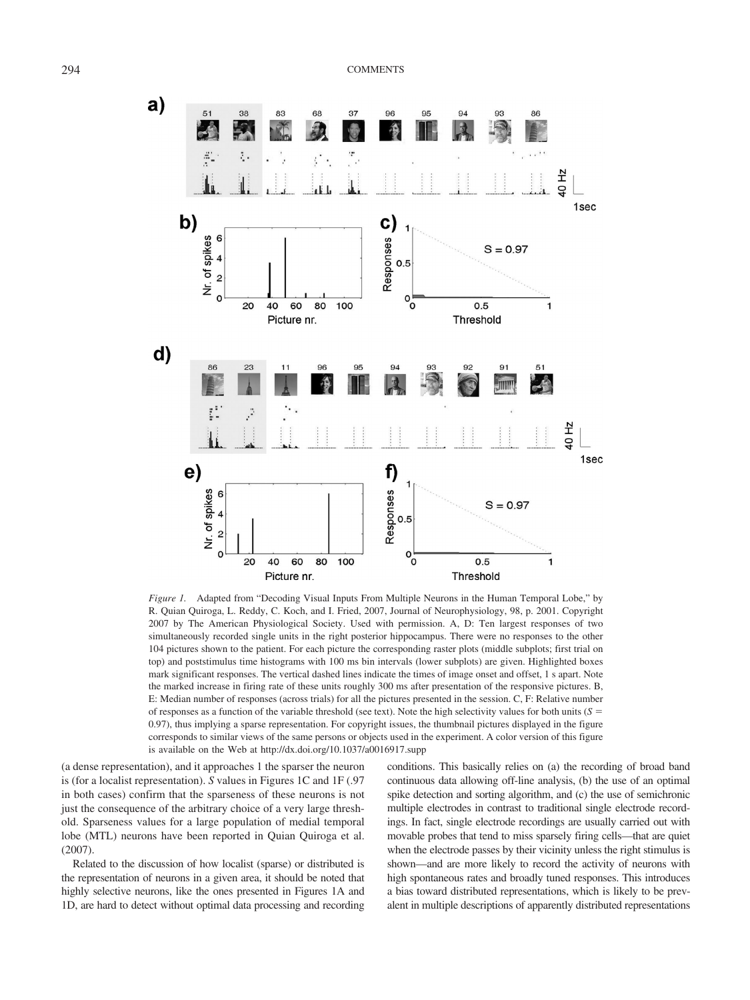294 COMMENTS



*Figure 1.* Adapted from "Decoding Visual Inputs From Multiple Neurons in the Human Temporal Lobe," by R. Quian Quiroga, L. Reddy, C. Koch, and I. Fried, 2007, Journal of Neurophysiology, 98, p. 2001. Copyright 2007 by The American Physiological Society. Used with permission. A, D: Ten largest responses of two simultaneously recorded single units in the right posterior hippocampus. There were no responses to the other 104 pictures shown to the patient. For each picture the corresponding raster plots (middle subplots; first trial on top) and poststimulus time histograms with 100 ms bin intervals (lower subplots) are given. Highlighted boxes mark significant responses. The vertical dashed lines indicate the times of image onset and offset, 1 s apart. Note the marked increase in firing rate of these units roughly 300 ms after presentation of the responsive pictures. B, E: Median number of responses (across trials) for all the pictures presented in the session. C, F: Relative number of responses as a function of the variable threshold (see text). Note the high selectivity values for both units ( $S =$ 0.97), thus implying a sparse representation. For copyright issues, the thumbnail pictures displayed in the figure corresponds to similar views of the same persons or objects used in the experiment. A color version of this figure is available on the Web at http://dx.doi.org/10.1037/a0016917.supp

(a dense representation), and it approaches 1 the sparser the neuron is (for a localist representation). *S* values in Figures 1C and 1F (.97 in both cases) confirm that the sparseness of these neurons is not just the consequence of the arbitrary choice of a very large threshold. Sparseness values for a large population of medial temporal lobe (MTL) neurons have been reported in Quian Quiroga et al. (2007).

Related to the discussion of how localist (sparse) or distributed is the representation of neurons in a given area, it should be noted that highly selective neurons, like the ones presented in Figures 1A and 1D, are hard to detect without optimal data processing and recording conditions. This basically relies on (a) the recording of broad band continuous data allowing off-line analysis, (b) the use of an optimal spike detection and sorting algorithm, and (c) the use of semichronic multiple electrodes in contrast to traditional single electrode recordings. In fact, single electrode recordings are usually carried out with movable probes that tend to miss sparsely firing cells—that are quiet when the electrode passes by their vicinity unless the right stimulus is shown—and are more likely to record the activity of neurons with high spontaneous rates and broadly tuned responses. This introduces a bias toward distributed representations, which is likely to be prevalent in multiple descriptions of apparently distributed representations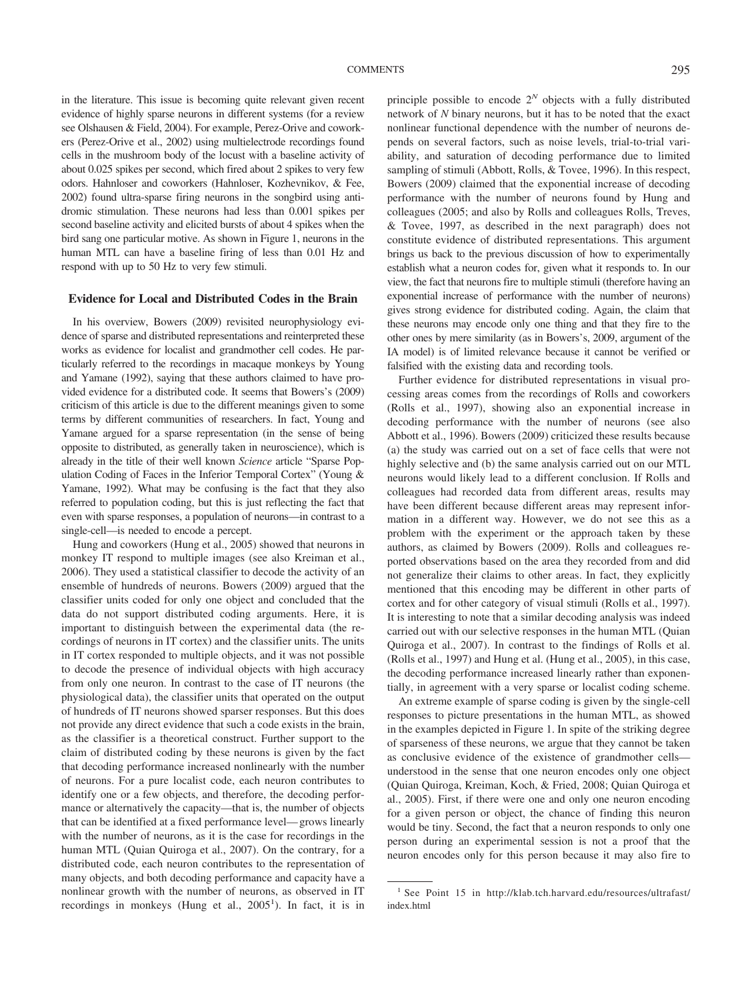in the literature. This issue is becoming quite relevant given recent evidence of highly sparse neurons in different systems (for a review see Olshausen & Field, 2004). For example, Perez-Orive and coworkers (Perez-Orive et al., 2002) using multielectrode recordings found cells in the mushroom body of the locust with a baseline activity of about 0.025 spikes per second, which fired about 2 spikes to very few odors. Hahnloser and coworkers (Hahnloser, Kozhevnikov, & Fee, 2002) found ultra-sparse firing neurons in the songbird using antidromic stimulation. These neurons had less than 0.001 spikes per second baseline activity and elicited bursts of about 4 spikes when the bird sang one particular motive. As shown in Figure 1, neurons in the human MTL can have a baseline firing of less than 0.01 Hz and respond with up to 50 Hz to very few stimuli.

## **Evidence for Local and Distributed Codes in the Brain**

In his overview, Bowers (2009) revisited neurophysiology evidence of sparse and distributed representations and reinterpreted these works as evidence for localist and grandmother cell codes. He particularly referred to the recordings in macaque monkeys by Young and Yamane (1992), saying that these authors claimed to have provided evidence for a distributed code. It seems that Bowers's (2009) criticism of this article is due to the different meanings given to some terms by different communities of researchers. In fact, Young and Yamane argued for a sparse representation (in the sense of being opposite to distributed, as generally taken in neuroscience), which is already in the title of their well known *Science* article "Sparse Population Coding of Faces in the Inferior Temporal Cortex" (Young & Yamane, 1992). What may be confusing is the fact that they also referred to population coding, but this is just reflecting the fact that even with sparse responses, a population of neurons—in contrast to a single-cell—is needed to encode a percept.

Hung and coworkers (Hung et al., 2005) showed that neurons in monkey IT respond to multiple images (see also Kreiman et al., 2006). They used a statistical classifier to decode the activity of an ensemble of hundreds of neurons. Bowers (2009) argued that the classifier units coded for only one object and concluded that the data do not support distributed coding arguments. Here, it is important to distinguish between the experimental data (the recordings of neurons in IT cortex) and the classifier units. The units in IT cortex responded to multiple objects, and it was not possible to decode the presence of individual objects with high accuracy from only one neuron. In contrast to the case of IT neurons (the physiological data), the classifier units that operated on the output of hundreds of IT neurons showed sparser responses. But this does not provide any direct evidence that such a code exists in the brain, as the classifier is a theoretical construct. Further support to the claim of distributed coding by these neurons is given by the fact that decoding performance increased nonlinearly with the number of neurons. For a pure localist code, each neuron contributes to identify one or a few objects, and therefore, the decoding performance or alternatively the capacity—that is, the number of objects that can be identified at a fixed performance level— grows linearly with the number of neurons, as it is the case for recordings in the human MTL (Quian Quiroga et al., 2007). On the contrary, for a distributed code, each neuron contributes to the representation of many objects, and both decoding performance and capacity have a nonlinear growth with the number of neurons, as observed in IT recordings in monkeys (Hung et al.,  $2005<sup>1</sup>$ ). In fact, it is in

principle possible to encode  $2^N$  objects with a fully distributed network of *N* binary neurons, but it has to be noted that the exact nonlinear functional dependence with the number of neurons depends on several factors, such as noise levels, trial-to-trial variability, and saturation of decoding performance due to limited sampling of stimuli (Abbott, Rolls, & Tovee, 1996). In this respect, Bowers (2009) claimed that the exponential increase of decoding performance with the number of neurons found by Hung and colleagues (2005; and also by Rolls and colleagues Rolls, Treves, & Tovee, 1997, as described in the next paragraph) does not constitute evidence of distributed representations. This argument brings us back to the previous discussion of how to experimentally establish what a neuron codes for, given what it responds to. In our view, the fact that neurons fire to multiple stimuli (therefore having an exponential increase of performance with the number of neurons) gives strong evidence for distributed coding. Again, the claim that these neurons may encode only one thing and that they fire to the other ones by mere similarity (as in Bowers's, 2009, argument of the IA model) is of limited relevance because it cannot be verified or falsified with the existing data and recording tools.

Further evidence for distributed representations in visual processing areas comes from the recordings of Rolls and coworkers (Rolls et al., 1997), showing also an exponential increase in decoding performance with the number of neurons (see also Abbott et al., 1996). Bowers (2009) criticized these results because (a) the study was carried out on a set of face cells that were not highly selective and (b) the same analysis carried out on our MTL neurons would likely lead to a different conclusion. If Rolls and colleagues had recorded data from different areas, results may have been different because different areas may represent information in a different way. However, we do not see this as a problem with the experiment or the approach taken by these authors, as claimed by Bowers (2009). Rolls and colleagues reported observations based on the area they recorded from and did not generalize their claims to other areas. In fact, they explicitly mentioned that this encoding may be different in other parts of cortex and for other category of visual stimuli (Rolls et al., 1997). It is interesting to note that a similar decoding analysis was indeed carried out with our selective responses in the human MTL (Quian Quiroga et al., 2007). In contrast to the findings of Rolls et al. (Rolls et al., 1997) and Hung et al. (Hung et al., 2005), in this case, the decoding performance increased linearly rather than exponentially, in agreement with a very sparse or localist coding scheme.

An extreme example of sparse coding is given by the single-cell responses to picture presentations in the human MTL, as showed in the examples depicted in Figure 1. In spite of the striking degree of sparseness of these neurons, we argue that they cannot be taken as conclusive evidence of the existence of grandmother cells understood in the sense that one neuron encodes only one object (Quian Quiroga, Kreiman, Koch, & Fried, 2008; Quian Quiroga et al., 2005). First, if there were one and only one neuron encoding for a given person or object, the chance of finding this neuron would be tiny. Second, the fact that a neuron responds to only one person during an experimental session is not a proof that the neuron encodes only for this person because it may also fire to

<sup>&</sup>lt;sup>1</sup> See Point 15 in http://klab.tch.harvard.edu/resources/ultrafast/ index.html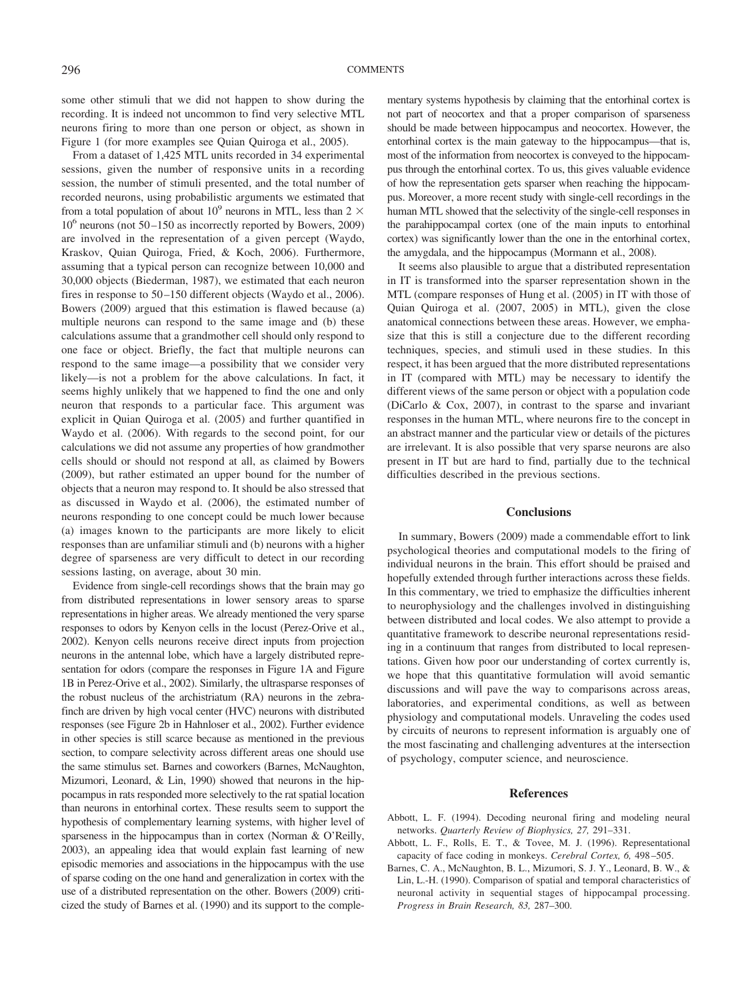some other stimuli that we did not happen to show during the recording. It is indeed not uncommon to find very selective MTL neurons firing to more than one person or object, as shown in Figure 1 (for more examples see Quian Quiroga et al., 2005).

From a dataset of 1,425 MTL units recorded in 34 experimental sessions, given the number of responsive units in a recording session, the number of stimuli presented, and the total number of recorded neurons, using probabilistic arguments we estimated that from a total population of about 10<sup>9</sup> neurons in MTL, less than 2  $\times$ 106 neurons (not 50 –150 as incorrectly reported by Bowers, 2009) are involved in the representation of a given percept (Waydo, Kraskov, Quian Quiroga, Fried, & Koch, 2006). Furthermore, assuming that a typical person can recognize between 10,000 and 30,000 objects (Biederman, 1987), we estimated that each neuron fires in response to 50-150 different objects (Waydo et al., 2006). Bowers (2009) argued that this estimation is flawed because (a) multiple neurons can respond to the same image and (b) these calculations assume that a grandmother cell should only respond to one face or object. Briefly, the fact that multiple neurons can respond to the same image—a possibility that we consider very likely—is not a problem for the above calculations. In fact, it seems highly unlikely that we happened to find the one and only neuron that responds to a particular face. This argument was explicit in Quian Quiroga et al. (2005) and further quantified in Waydo et al. (2006). With regards to the second point, for our calculations we did not assume any properties of how grandmother cells should or should not respond at all, as claimed by Bowers (2009), but rather estimated an upper bound for the number of objects that a neuron may respond to. It should be also stressed that as discussed in Waydo et al. (2006), the estimated number of neurons responding to one concept could be much lower because (a) images known to the participants are more likely to elicit responses than are unfamiliar stimuli and (b) neurons with a higher degree of sparseness are very difficult to detect in our recording sessions lasting, on average, about 30 min.

Evidence from single-cell recordings shows that the brain may go from distributed representations in lower sensory areas to sparse representations in higher areas. We already mentioned the very sparse responses to odors by Kenyon cells in the locust (Perez-Orive et al., 2002). Kenyon cells neurons receive direct inputs from projection neurons in the antennal lobe, which have a largely distributed representation for odors (compare the responses in Figure 1A and Figure 1B in Perez-Orive et al., 2002). Similarly, the ultrasparse responses of the robust nucleus of the archistriatum (RA) neurons in the zebrafinch are driven by high vocal center (HVC) neurons with distributed responses (see Figure 2b in Hahnloser et al., 2002). Further evidence in other species is still scarce because as mentioned in the previous section, to compare selectivity across different areas one should use the same stimulus set. Barnes and coworkers (Barnes, McNaughton, Mizumori, Leonard, & Lin, 1990) showed that neurons in the hippocampus in rats responded more selectively to the rat spatial location than neurons in entorhinal cortex. These results seem to support the hypothesis of complementary learning systems, with higher level of sparseness in the hippocampus than in cortex (Norman & O'Reilly, 2003), an appealing idea that would explain fast learning of new episodic memories and associations in the hippocampus with the use of sparse coding on the one hand and generalization in cortex with the use of a distributed representation on the other. Bowers (2009) criticized the study of Barnes et al. (1990) and its support to the complementary systems hypothesis by claiming that the entorhinal cortex is not part of neocortex and that a proper comparison of sparseness should be made between hippocampus and neocortex. However, the entorhinal cortex is the main gateway to the hippocampus—that is, most of the information from neocortex is conveyed to the hippocampus through the entorhinal cortex. To us, this gives valuable evidence of how the representation gets sparser when reaching the hippocampus. Moreover, a more recent study with single-cell recordings in the human MTL showed that the selectivity of the single-cell responses in the parahippocampal cortex (one of the main inputs to entorhinal cortex) was significantly lower than the one in the entorhinal cortex, the amygdala, and the hippocampus (Mormann et al., 2008).

It seems also plausible to argue that a distributed representation in IT is transformed into the sparser representation shown in the MTL (compare responses of Hung et al. (2005) in IT with those of Quian Quiroga et al. (2007, 2005) in MTL), given the close anatomical connections between these areas. However, we emphasize that this is still a conjecture due to the different recording techniques, species, and stimuli used in these studies. In this respect, it has been argued that the more distributed representations in IT (compared with MTL) may be necessary to identify the different views of the same person or object with a population code (DiCarlo & Cox, 2007), in contrast to the sparse and invariant responses in the human MTL, where neurons fire to the concept in an abstract manner and the particular view or details of the pictures are irrelevant. It is also possible that very sparse neurons are also present in IT but are hard to find, partially due to the technical difficulties described in the previous sections.

# **Conclusions**

In summary, Bowers (2009) made a commendable effort to link psychological theories and computational models to the firing of individual neurons in the brain. This effort should be praised and hopefully extended through further interactions across these fields. In this commentary, we tried to emphasize the difficulties inherent to neurophysiology and the challenges involved in distinguishing between distributed and local codes. We also attempt to provide a quantitative framework to describe neuronal representations residing in a continuum that ranges from distributed to local representations. Given how poor our understanding of cortex currently is, we hope that this quantitative formulation will avoid semantic discussions and will pave the way to comparisons across areas, laboratories, and experimental conditions, as well as between physiology and computational models. Unraveling the codes used by circuits of neurons to represent information is arguably one of the most fascinating and challenging adventures at the intersection of psychology, computer science, and neuroscience.

#### **References**

- Abbott, L. F. (1994). Decoding neuronal firing and modeling neural networks. *Quarterly Review of Biophysics, 27,* 291–331.
- Abbott, L. F., Rolls, E. T., & Tovee, M. J. (1996). Representational capacity of face coding in monkeys. *Cerebral Cortex, 6,* 498 –505.
- Barnes, C. A., McNaughton, B. L., Mizumori, S. J. Y., Leonard, B. W., & Lin, L.-H. (1990). Comparison of spatial and temporal characteristics of neuronal activity in sequential stages of hippocampal processing. *Progress in Brain Research, 83,* 287–300.